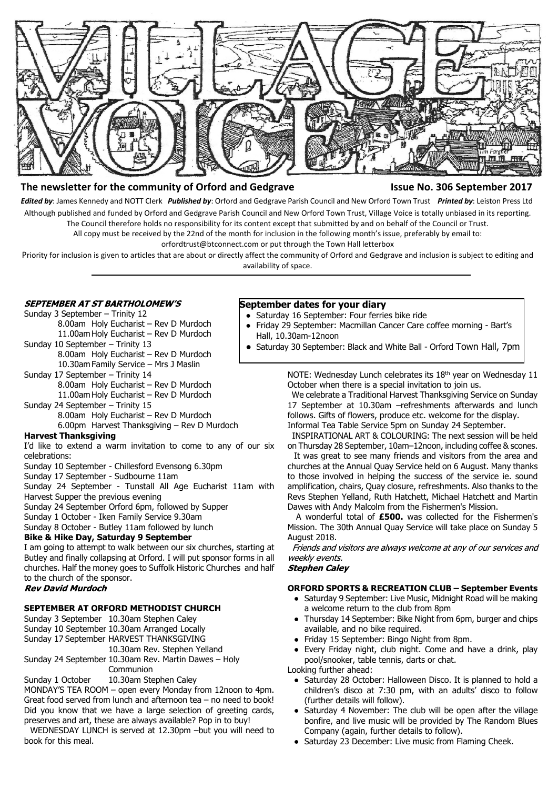

# **The newsletter for the community of Orford and Gedgrave Issue No. 306 September 2017**

*Edited by*: James Kennedy and NOTT Clerk *Published by*: Orford and Gedgrave Parish Council and New Orford Town Trust *Printed by*: Leiston Press Ltd Although published and funded by Orford and Gedgrave Parish Council and New Orford Town Trust, Village Voice is totally unbiased in its reporting. The Council therefore holds no responsibility for its content except that submitted by and on behalf of the Council or Trust.

All copy must be received by the 22nd of the month for inclusion in the following month's issue, preferably by email to:

orfordtrust@btconnect.com or put through the Town Hall letterbox

Priority for inclusion is given to articles that are about or directly affect the community of Orford and Gedgrave and inclusion is subject to editing and availability of space.

# **SEPTEMBER AT ST BARTHOLOMEW'S**

Sunday 3 September – Trinity 12 8.00am Holy Eucharist – Rev D Murdoch

11.00am Holy Eucharist – Rev D Murdoch Sunday 10 September – Trinity 13

8.00am Holy Eucharist – Rev D Murdoch 10.30am Family Service – Mrs J Maslin

Sunday 17 September – Trinity 14

8.00am Holy Eucharist – Rev D Murdoch 11.00am Holy Eucharist – Rev D Murdoch

Sunday 24 September – Trinity 15

8.00am Holy Eucharist – Rev D Murdoch

6.00pm Harvest Thanksgiving – Rev D Murdoch

#### **Harvest Thanksgiving**

I'd like to extend a warm invitation to come to any of our six celebrations:

Sunday 10 September - Chillesford Evensong 6.30pm

Sunday 17 September - Sudbourne 11am

Sunday 24 September - Tunstall All Age Eucharist 11am with Harvest Supper the previous evening

Sunday 24 September Orford 6pm, followed by Supper

Sunday 1 October - Iken Family Service 9.30am

Sunday 8 October - Butley 11am followed by lunch

# **Bike & Hike Day, Saturday 9 September**

I am going to attempt to walk between our six churches, starting at Butley and finally collapsing at Orford. I will put sponsor forms in all churches. Half the money goes to Suffolk Historic Churches and half to the church of the sponsor.

# **Rev David Murdoch**

# **SEPTEMBER AT ORFORD METHODIST CHURCH**

Sunday 3 September 10.30am Stephen Caley

Sunday 10 September 10.30am Arranged Locally

Sunday 17 September HARVEST THANKSGIVING

10.30am Rev. Stephen Yelland

Sunday 24 September 10.30am Rev. Martin Dawes – Holy Communion

Sunday 1 October 10.30am Stephen Caley

MONDAY'S TEA ROOM – open every Monday from 12noon to 4pm. Great food served from lunch and afternoon tea – no need to book! Did you know that we have a large selection of greeting cards, preserves and art, these are always available? Pop in to buy!

 WEDNESDAY LUNCH is served at 12.30pm –but you will need to book for this meal.

# **September dates for your diary**

- Saturday 16 September: Four ferries bike ride
	- Friday 29 September: Macmillan Cancer Care coffee morning Bart's Hall, 10.30am-12noon
- Saturday 30 September: Black and White Ball Orford Town Hall, 7pm

NOTE: Wednesday Lunch celebrates its 18<sup>th</sup> year on Wednesday 11 October when there is a special invitation to join us.

 We celebrate a Traditional Harvest Thanksgiving Service on Sunday 17 September at 10.30am –refreshments afterwards and lunch follows. Gifts of flowers, produce etc. welcome for the display. Informal Tea Table Service 5pm on Sunday 24 September.

 INSPIRATIONAL ART & COLOURING: The next session will be held on Thursday 28 September, 10am–12noon, including coffee & scones.

 It was great to see many friends and visitors from the area and churches at the Annual Quay Service held on 6 August. Many thanks to those involved in helping the success of the service ie. sound amplification, chairs, Quay closure, refreshments. Also thanks to the Revs Stephen Yelland, Ruth Hatchett, Michael Hatchett and Martin Dawes with Andy Malcolm from the Fishermen's Mission.

 A wonderful total of **£500.** was collected for the Fishermen's Mission. The 30th Annual Quay Service will take place on Sunday 5 August 2018.

Friends and visitors are always welcome at any of our services and weekly events.

**Stephen Caley** 

#### **ORFORD SPORTS & RECREATION CLUB – September Events**

- Saturday 9 September: Live Music, Midnight Road will be making a welcome return to the club from 8pm
- Thursday 14 September: Bike Night from 6pm, burger and chips available, and no bike required.
- Friday 15 September: Bingo Night from 8pm.
- Every Friday night, club night. Come and have a drink, play pool/snooker, table tennis, darts or chat.

Looking further ahead:

- Saturday 28 October: Halloween Disco. It is planned to hold a children's disco at 7:30 pm, with an adults' disco to follow (further details will follow).
- Saturday 4 November: The club will be open after the village bonfire, and live music will be provided by The Random Blues Company (again, further details to follow).
- Saturday 23 December: Live music from Flaming Cheek.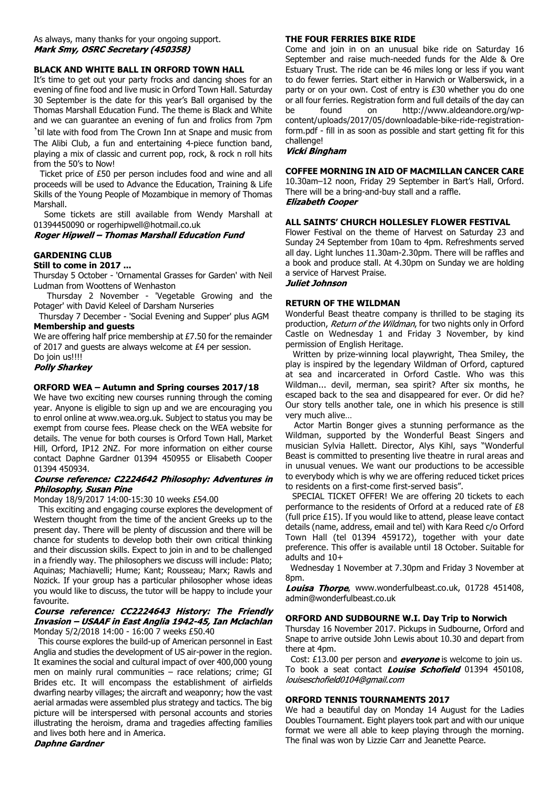# **BLACK AND WHITE BALL IN ORFORD TOWN HALL**

It's time to get out your party frocks and dancing shoes for an evening of fine food and live music in Orford Town Hall. Saturday 30 September is the date for this year's Ball organised by the Thomas Marshall Education Fund. The theme is Black and White and we can guarantee an evening of fun and frolics from 7pm

'til late with food from The Crown Inn at Snape and music from The Alibi Club, a fun and entertaining 4-piece function band, playing a mix of classic and current pop, rock, & rock n roll hits from the 50's to Now!

 Ticket price of £50 per person includes food and wine and all proceeds will be used to Advance the Education, Training & Life Skills of the Young People of Mozambique in memory of Thomas Marshall.

 Some tickets are still available from Wendy Marshall at 01394450090 or rogerhipwell@hotmail.co.uk<br>Roger Hipwell - Thomas Marshall Education Fund

# **GARDENING CLUB**

#### **Still to come in 2017 ...**

Thursday 5 October - 'Ornamental Grasses for Garden' with Neil Ludman from Woottens of Wenhaston

 Thursday 2 November - 'Vegetable Growing and the Potager' with David Keleel of Darsham Nurseries

 Thursday 7 December - 'Social Evening and Supper' plus AGM **Membership and guests**

We are offering half price membership at £7.50 for the remainder of 2017 and guests are always welcome at £4 per session. Do join us!!!!

#### **Polly Sharkey**

#### **ORFORD WEA – Autumn and Spring courses 2017/18**

We have two exciting new courses running through the coming year. Anyone is eligible to sign up and we are encouraging you to enrol online at www.wea.org.uk. Subject to status you may be exempt from course fees. Please check on the WEA website for details. The venue for both courses is Orford Town Hall, Market Hill, Orford, IP12 2NZ. For more information on either course contact Daphne Gardner 01394 450955 or Elisabeth Cooper 01394 450934.

#### Course reference: C2224642 Philosophy: Adventures in Philosophy, Susan Pine

#### Monday 18/9/2017 14:00-15:30 10 weeks £54.00

 This exciting and engaging course explores the development of Western thought from the time of the ancient Greeks up to the present day. There will be plenty of discussion and there will be chance for students to develop both their own critical thinking and their discussion skills. Expect to join in and to be challenged in a friendly way. The philosophers we discuss will include: Plato; Aquinas; Machiavelli; Hume; Kant; Rousseau; Marx; Rawls and Nozick. If your group has a particular philosopher whose ideas you would like to discuss, the tutor will be happy to include your favourite.

#### Course reference: CC2224643 History: The Friendly Invasion - USAAF in East Anglia 1942-45, Ian Mclachlan Monday 5/2/2018 14:00 - 16:00 7 weeks £50.40

 This course explores the build-up of American personnel in East Anglia and studies the development of US air-power in the region. It examines the social and cultural impact of over 400,000 young men on mainly rural communities – race relations; crime; GI Brides etc. It will encompass the establishment of airfields dwarfing nearby villages; the aircraft and weaponry; how the vast aerial armadas were assembled plus strategy and tactics. The big picture will be interspersed with personal accounts and stories illustrating the heroism, drama and tragedies affecting families and lives both here and in America.

#### **Daphne Gardner**

## **THE FOUR FERRIES BIKE RIDE**

Come and join in on an unusual bike ride on Saturday 16 September and raise much-needed funds for the Alde & Ore Estuary Trust. The ride can be 46 miles long or less if you want to do fewer ferries. Start either in Harwich or Walberswick, in a party or on your own. Cost of entry is £30 whether you do one or all four ferries. Registration form and full details of the day can be found on http://www.aldeandore.org/wpcontent/uploads/2017/05/downloadable-bike-ride-registrationform.pdf - fill in as soon as possible and start getting fit for this challenge!<br>*Vicki Bingham* 

#### **COFFEE MORNING IN AID OF MACMILLAN CANCER CARE**

10.30am–12 noon, Friday 29 September in Bart's Hall, Orford. There will be a bring-and-buy stall and a raffle. **Elizabeth Cooper** 

## **ALL SAINTS' CHURCH HOLLESLEY FLOWER FESTIVAL**

Flower Festival on the theme of Harvest on Saturday 23 and Sunday 24 September from 10am to 4pm. Refreshments served all day. Light lunches 11.30am-2.30pm. There will be raffles and a book and produce stall. At 4.30pm on Sunday we are holding a service of Harvest Praise.

Juliet Johnson

## **RETURN OF THE WILDMAN**

Wonderful Beast theatre company is thrilled to be staging its production, Return of the Wildman, for two nights only in Orford Castle on Wednesday 1 and Friday 3 November, by kind permission of English Heritage.

 Written by prize-winning local playwright, Thea Smiley, the play is inspired by the legendary Wildman of Orford, captured at sea and incarcerated in Orford Castle. Who was this Wildman... devil, merman, sea spirit? After six months, he escaped back to the sea and disappeared for ever. Or did he? Our story tells another tale, one in which his presence is still very much alive…

 Actor Martin Bonger gives a stunning performance as the Wildman, supported by the Wonderful Beast Singers and musician Sylvia Hallett. Director, Alys Kihl, says "Wonderful Beast is committed to presenting live theatre in rural areas and in unusual venues. We want our productions to be accessible to everybody which is why we are offering reduced ticket prices to residents on a first-come first-served basis".

 SPECIAL TICKET OFFER! We are offering 20 tickets to each performance to the residents of Orford at a reduced rate of £8 (full price £15). If you would like to attend, please leave contact details (name, address, email and tel) with Kara Reed c/o Orford Town Hall (tel 01394 459172), together with your date preference. This offer is available until 18 October. Suitable for adults and 10+

 Wednesday 1 November at 7.30pm and Friday 3 November at 8pm.

Louisa Thorpe, www.wonderfulbeast.co.uk, 01728 451408, admin@wonderfulbeast.co.uk

## **ORFORD AND SUDBOURNE W.I. Day Trip to Norwich**

Thursday 16 November 2017. Pickups in Sudbourne, Orford and Snape to arrive outside John Lewis about 10.30 and depart from there at 4pm.

Cost: £13.00 per person and **everyone** is welcome to join us. To book a seat contact Louise Schofield 01394 450108, louiseschofield0104@gmail.com

#### **ORFORD TENNIS TOURNAMENTS 2017**

We had a beautiful day on Monday 14 August for the Ladies Doubles Tournament. Eight players took part and with our unique format we were all able to keep playing through the morning. The final was won by Lizzie Carr and Jeanette Pearce.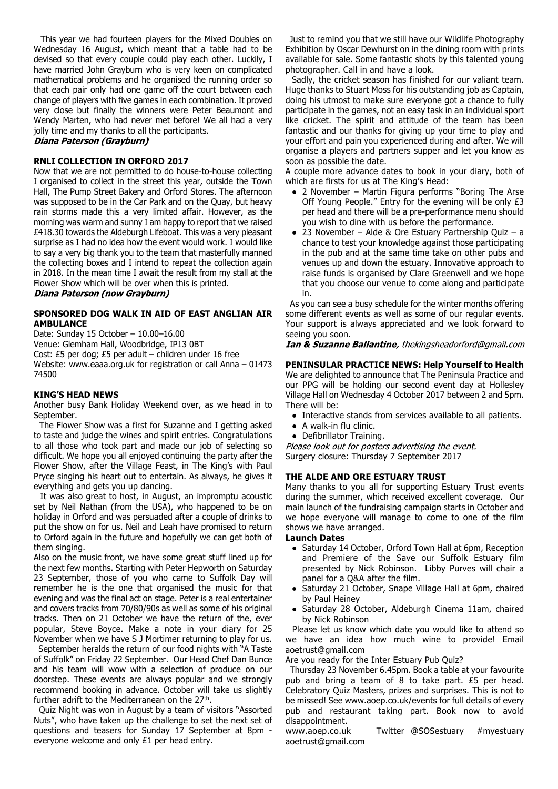This year we had fourteen players for the Mixed Doubles on Wednesday 16 August, which meant that a table had to be devised so that every couple could play each other. Luckily, I have married John Grayburn who is very keen on complicated mathematical problems and he organised the running order so that each pair only had one game off the court between each change of players with five games in each combination. It proved very close but finally the winners were Peter Beaumont and Wendy Marten, who had never met before! We all had a very jolly time and my thanks to all the participants.

Diana Paterson (Grayburn)

# **RNLI COLLECTION IN ORFORD 2017**

Now that we are not permitted to do house-to-house collecting I organised to collect in the street this year, outside the Town Hall, The Pump Street Bakery and Orford Stores. The afternoon was supposed to be in the Car Park and on the Quay, but heavy rain storms made this a very limited affair. However, as the morning was warm and sunny I am happy to report that we raised £418.30 towards the Aldeburgh Lifeboat. This was a very pleasant surprise as I had no idea how the event would work. I would like to say a very big thank you to the team that masterfully manned the collecting boxes and I intend to repeat the collection again in 2018. In the mean time I await the result from my stall at the Flower Show which will be over when this is printed.

Diana Paterson (now Grayburn)

# **SPONSORED DOG WALK IN AID OF EAST ANGLIAN AIR AMBULANCE**

Date: Sunday 15 October – 10.00–16.00

Venue: Glemham Hall, Woodbridge, IP13 0BT

Cost: £5 per dog; £5 per adult – children under 16 free

Website: www.eaaa.org.uk for registration or call Anna – 01473 74500

#### **KING'S HEAD NEWS**

Another busy Bank Holiday Weekend over, as we head in to September.

 The Flower Show was a first for Suzanne and I getting asked to taste and judge the wines and spirit entries. Congratulations to all those who took part and made our job of selecting so difficult. We hope you all enjoyed continuing the party after the Flower Show, after the Village Feast, in The King's with Paul Pryce singing his heart out to entertain. As always, he gives it everything and gets you up dancing.

 It was also great to host, in August, an impromptu acoustic set by Neil Nathan (from the USA), who happened to be on holiday in Orford and was persuaded after a couple of drinks to put the show on for us. Neil and Leah have promised to return to Orford again in the future and hopefully we can get both of them singing.

Also on the music front, we have some great stuff lined up for the next few months. Starting with Peter Hepworth on Saturday 23 September, those of you who came to Suffolk Day will remember he is the one that organised the music for that evening and was the final act on stage. Peter is a real entertainer and covers tracks from 70/80/90s as well as some of his original tracks. Then on 21 October we have the return of the, ever popular, Steve Boyce. Make a note in your diary for 25 November when we have S J Mortimer returning to play for us.

 September heralds the return of our food nights with "A Taste of Suffolk" on Friday 22 September. Our Head Chef Dan Bunce and his team will wow with a selection of produce on our doorstep. These events are always popular and we strongly recommend booking in advance. October will take us slightly further adrift to the Mediterranean on the 27<sup>th</sup>.

 Quiz Night was won in August by a team of visitors "Assorted Nuts", who have taken up the challenge to set the next set of questions and teasers for Sunday 17 September at 8pm everyone welcome and only £1 per head entry.

 Just to remind you that we still have our Wildlife Photography Exhibition by Oscar Dewhurst on in the dining room with prints available for sale. Some fantastic shots by this talented young photographer. Call in and have a look.

 Sadly, the cricket season has finished for our valiant team. Huge thanks to Stuart Moss for his outstanding job as Captain, doing his utmost to make sure everyone got a chance to fully participate in the games, not an easy task in an individual sport like cricket. The spirit and attitude of the team has been fantastic and our thanks for giving up your time to play and your effort and pain you experienced during and after. We will organise a players and partners supper and let you know as soon as possible the date.

A couple more advance dates to book in your diary, both of which are firsts for us at The King's Head:

- 2 November Martin Figura performs "Boring The Arse Off Young People." Entry for the evening will be only £3 per head and there will be a pre-performance menu should you wish to dine with us before the performance.
- 23 November Alde & Ore Estuary Partnership Quiz a chance to test your knowledge against those participating in the pub and at the same time take on other pubs and venues up and down the estuary. Innovative approach to raise funds is organised by Clare Greenwell and we hope that you choose our venue to come along and participate in.

 As you can see a busy schedule for the winter months offering some different events as well as some of our regular events. Your support is always appreciated and we look forward to seeing you soon.

Ian & Suzanne Ballantine, thekingsheadorford@gmail.com

# **PENINSULAR PRACTICE NEWS: Help Yourself to Health**

We are delighted to announce that The Peninsula Practice and our PPG will be holding our second event day at Hollesley Village Hall on Wednesday 4 October 2017 between 2 and 5pm. There will be:

- Interactive stands from services available to all patients.
- A walk-in flu clinic.
- Defibrillator Training.

Please look out for posters advertising the event. Surgery closure: Thursday 7 September 2017

# **THE ALDE AND ORE ESTUARY TRUST**

Many thanks to you all for supporting Estuary Trust events during the summer, which received excellent coverage. Our main launch of the fundraising campaign starts in October and we hope everyone will manage to come to one of the film shows we have arranged.

#### **Launch Dates**

- Saturday 14 October, Orford Town Hall at 6pm, Reception and Premiere of the Save our Suffolk Estuary film presented by Nick Robinson. Libby Purves will chair a panel for a Q&A after the film.
- Saturday 21 October, Snape Village Hall at 6pm, chaired by Paul Heiney
- Saturday 28 October, Aldeburgh Cinema 11am, chaired by Nick Robinson

 Please let us know which date you would like to attend so we have an idea how much wine to provide! Email aoetrust@gmail.com

Are you ready for the Inter Estuary Pub Quiz?

 Thursday 23 November 6.45pm. Book a table at your favourite pub and bring a team of 8 to take part. £5 per head. Celebratory Quiz Masters, prizes and surprises. This is not to be missed! See www.aoep.co.uk/events for full details of every pub and restaurant taking part. Book now to avoid disappointment.

www.aoep.co.uk Twitter @SOSestuary #myestuary aoetrust@gmail.com